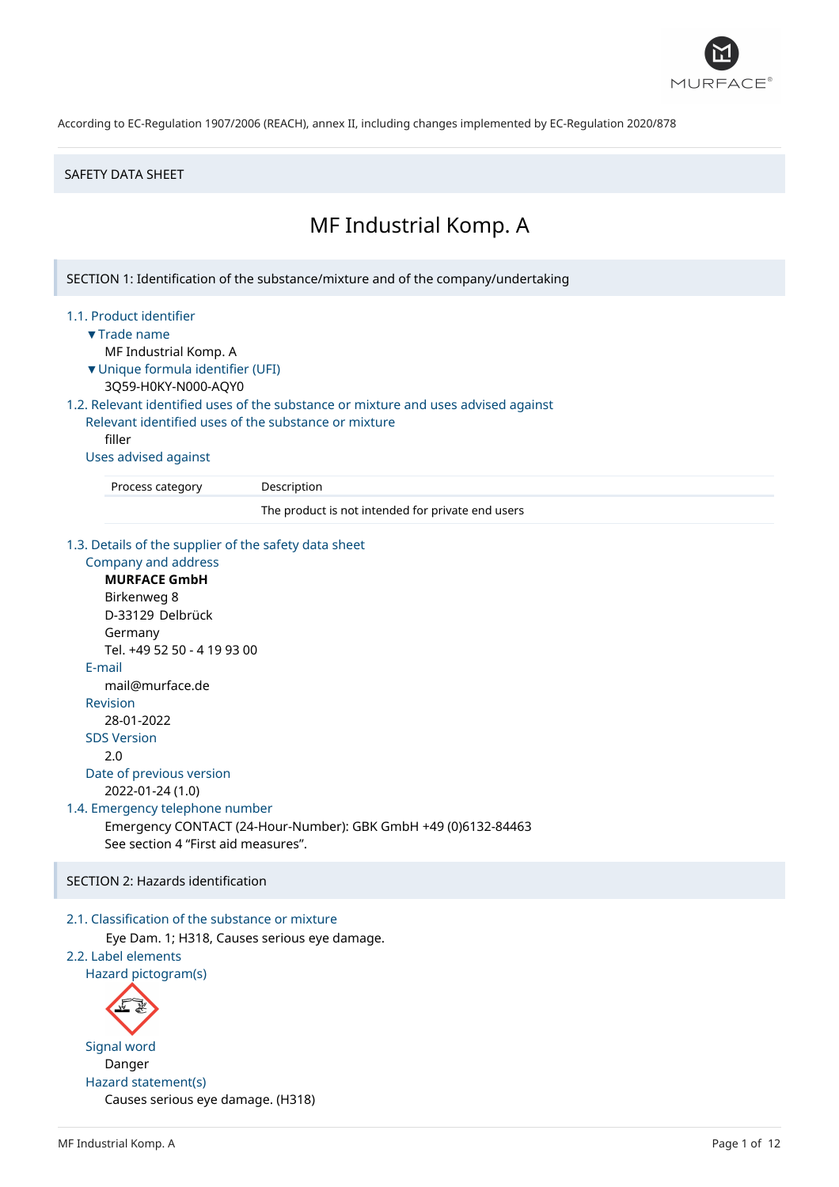

#### SAFETY DATA SHEET

# MF Industrial Komp. A

SECTION 1: Identification of the substance/mixture and of the company/undertaking

#### 1.1. Product identifier

- ▼Trade name
	- MF Industrial Komp. A
- ▼Unique formula identifier (UFI)
- 3Q59-H0KY-N000-AQY0

# 1.2. Relevant identified uses of the substance or mixture and uses advised against

Relevant identified uses of the substance or mixture filler

#### Uses advised against

Process category Description

The product is not intended for private end users

#### 1.3. Details of the supplier of the safety data sheet

Company and address **MURFACE GmbH** Birkenweg 8 D-33129 Delbrück Germany Tel. +49 52 50 - 4 19 93 00 E-mail mail@murface.de Revision 28-01-2022 SDS Version 2.0 Date of previous version 2022-01-24 (1.0) 1.4. Emergency telephone number Emergency CONTACT (24-Hour-Number): GBK GmbH +49 (0)6132-84463 See section 4 "First aid measures".

SECTION 2: Hazards identification

# 2.1. Classification of the substance or mixture

Eye Dam. 1; H318, Causes serious eye damage.

```
2.2. Label elements
```
Hazard pictogram(s)



Signal word Danger Hazard statement(s) Causes serious eye damage. (H318)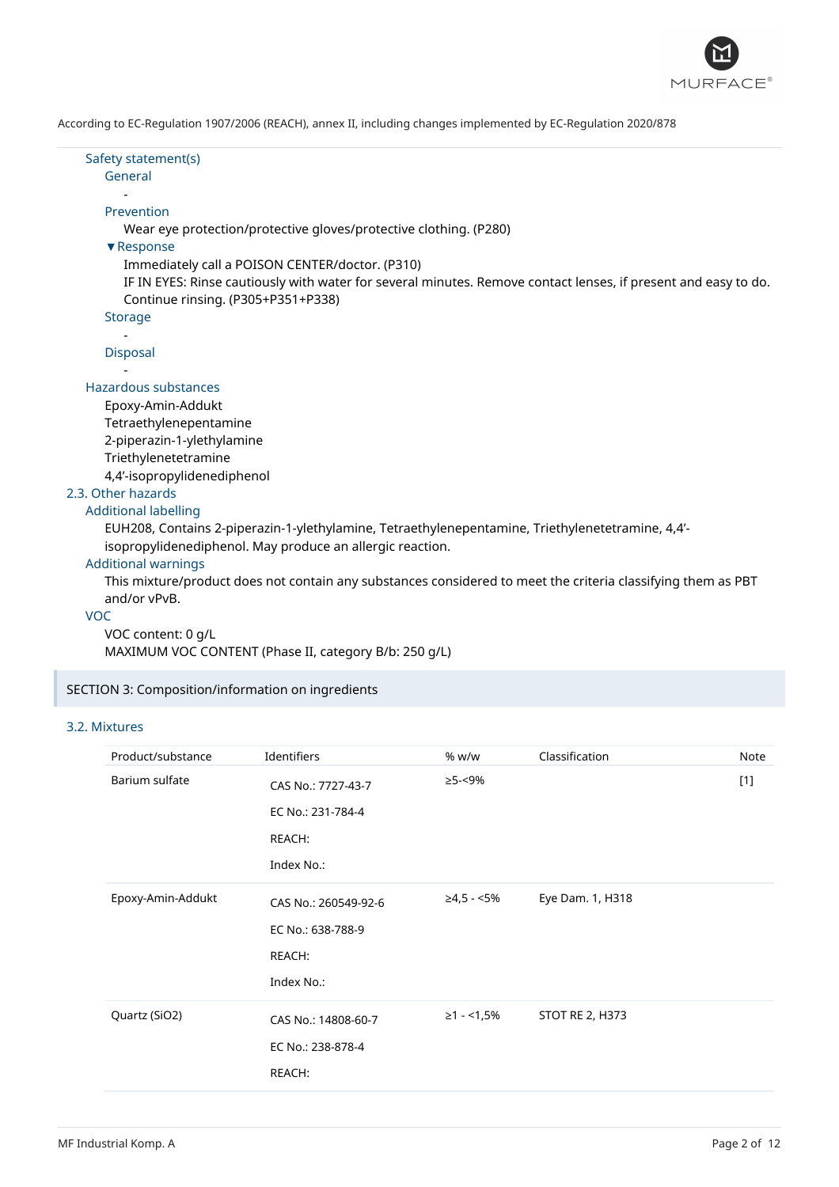

#### Safety statement(s) General

### -

# Prevention

Wear eye protection/protective gloves/protective clothing. (P280)

# ▼Response

Immediately call a POISON CENTER/doctor. (P310)

IF IN EYES: Rinse cautiously with water for several minutes. Remove contact lenses, if present and easy to do. Continue rinsing. (P305+P351+P338)

# Storage

- Disposal -

### Hazardous substances

Epoxy-Amin-Addukt Tetraethylenepentamine 2-piperazin-1-ylethylamine Triethylenetetramine 4,4'-isopropylidenediphenol

2.3. Other hazards

### Additional labelling

EUH208, Contains 2-piperazin-1-ylethylamine, Tetraethylenepentamine, Triethylenetetramine, 4,4' isopropylidenediphenol. May produce an allergic reaction.

### Additional warnings

This mixture/product does not contain any substances considered to meet the criteria classifying them as PBT and/or vPvB.

#### VOC

# VOC content: 0 g/L

MAXIMUM VOC CONTENT (Phase II, category B/b: 250 g/L)

# SECTION 3: Composition/information on ingredients

### 3.2. Mixtures

| Product/substance | Identifiers                                                       | % w/w       | Classification         | Note  |
|-------------------|-------------------------------------------------------------------|-------------|------------------------|-------|
| Barium sulfate    | CAS No.: 7727-43-7<br>EC No.: 231-784-4<br>REACH:<br>Index No.:   | ≥5-<9%      |                        | $[1]$ |
| Epoxy-Amin-Addukt | CAS No.: 260549-92-6<br>EC No.: 638-788-9<br>REACH:<br>Index No.: | ≥4,5 - <5%  | Eye Dam. 1, H318       |       |
| Quartz (SiO2)     | CAS No.: 14808-60-7<br>EC No.: 238-878-4<br>REACH:                | $≥1 - 1,5%$ | <b>STOT RE 2, H373</b> |       |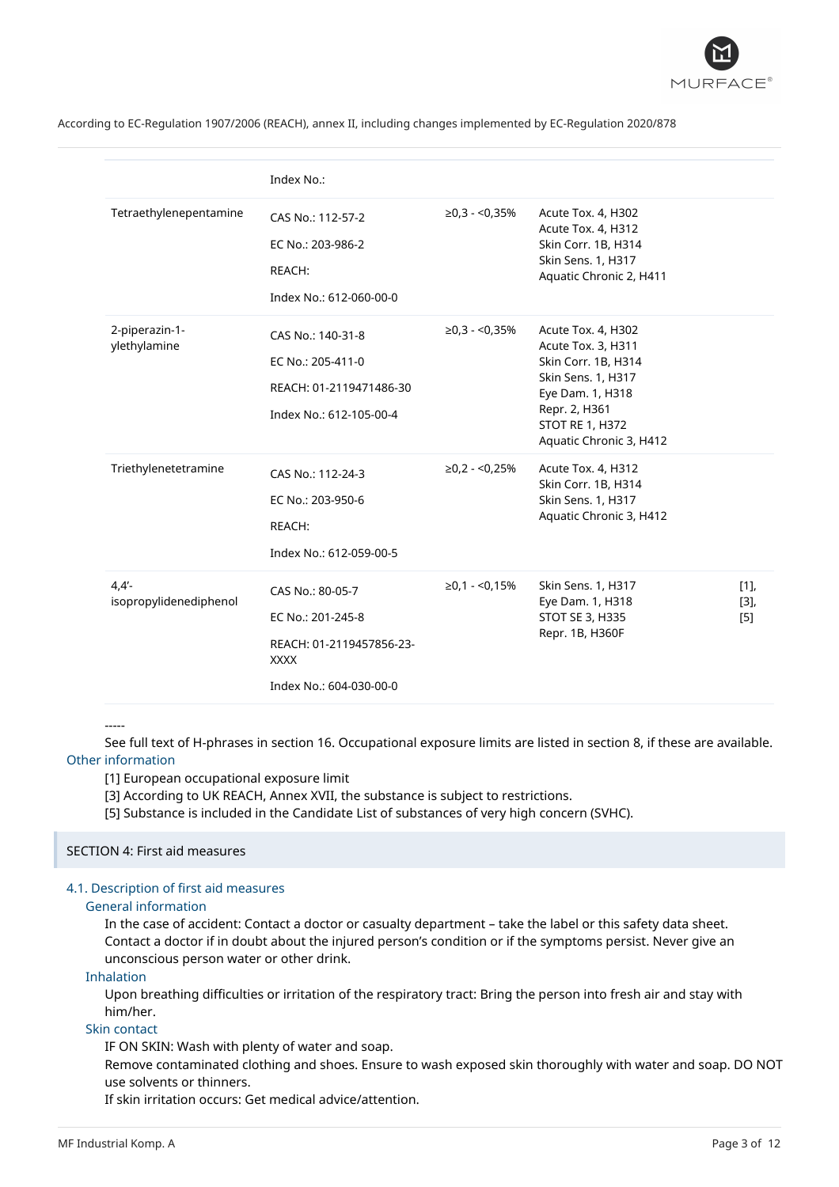

|                                    | Index No.:                                                                                                  |                     |                                                                                                                                                                                 |                   |
|------------------------------------|-------------------------------------------------------------------------------------------------------------|---------------------|---------------------------------------------------------------------------------------------------------------------------------------------------------------------------------|-------------------|
| Tetraethylenepentamine             | CAS No.: 112-57-2<br>EC No.: 203-986-2<br>REACH:<br>Index No.: 612-060-00-0                                 | $\ge 0.3 - 0.35\%$  | Acute Tox. 4, H302<br>Acute Tox. 4, H312<br>Skin Corr. 1B, H314<br>Skin Sens. 1, H317<br>Aquatic Chronic 2, H411                                                                |                   |
| 2-piperazin-1-<br>ylethylamine     | CAS No.: 140-31-8<br>EC No.: 205-411-0<br>REACH: 01-2119471486-30<br>Index No.: 612-105-00-4                | $\ge 0.3 - 0.35\%$  | Acute Tox. 4, H302<br>Acute Tox. 3, H311<br>Skin Corr. 1B, H314<br>Skin Sens. 1, H317<br>Eye Dam. 1, H318<br>Repr. 2, H361<br><b>STOT RE 1, H372</b><br>Aquatic Chronic 3, H412 |                   |
| Triethylenetetramine               | CAS No.: 112-24-3<br>EC No.: 203-950-6<br>REACH:<br>Index No.: 612-059-00-5                                 | $\geq 0.2 - 0.25\%$ | Acute Tox. 4, H312<br>Skin Corr. 1B, H314<br>Skin Sens. 1, H317<br>Aquatic Chronic 3, H412                                                                                      |                   |
| $4,4'$ -<br>isopropylidenediphenol | CAS No.: 80-05-7<br>EC No.: 201-245-8<br>REACH: 01-2119457856-23-<br><b>XXXX</b><br>Index No.: 604-030-00-0 | $≥0,1 - 5,15%$      | Skin Sens. 1, H317<br>Eye Dam. 1, H318<br>STOT SE 3, H335<br>Repr. 1B, H360F                                                                                                    | [1]<br>[3]<br>[5] |

-----

See full text of H-phrases in section 16. Occupational exposure limits are listed in section 8, if these are available. Other information

[1] European occupational exposure limit

[3] According to UK REACH, Annex XVII, the substance is subject to restrictions.

[5] Substance is included in the Candidate List of substances of very high concern (SVHC).

### SECTION 4: First aid measures

# 4.1. Description of first aid measures

### General information

In the case of accident: Contact a doctor or casualty department – take the label or this safety data sheet. Contact a doctor if in doubt about the injured person's condition or if the symptoms persist. Never give an unconscious person water or other drink.

### Inhalation

Upon breathing difficulties or irritation of the respiratory tract: Bring the person into fresh air and stay with him/her.

### Skin contact

IF ON SKIN: Wash with plenty of water and soap.

Remove contaminated clothing and shoes. Ensure to wash exposed skin thoroughly with water and soap. DO NOT use solvents or thinners.

If skin irritation occurs: Get medical advice/attention.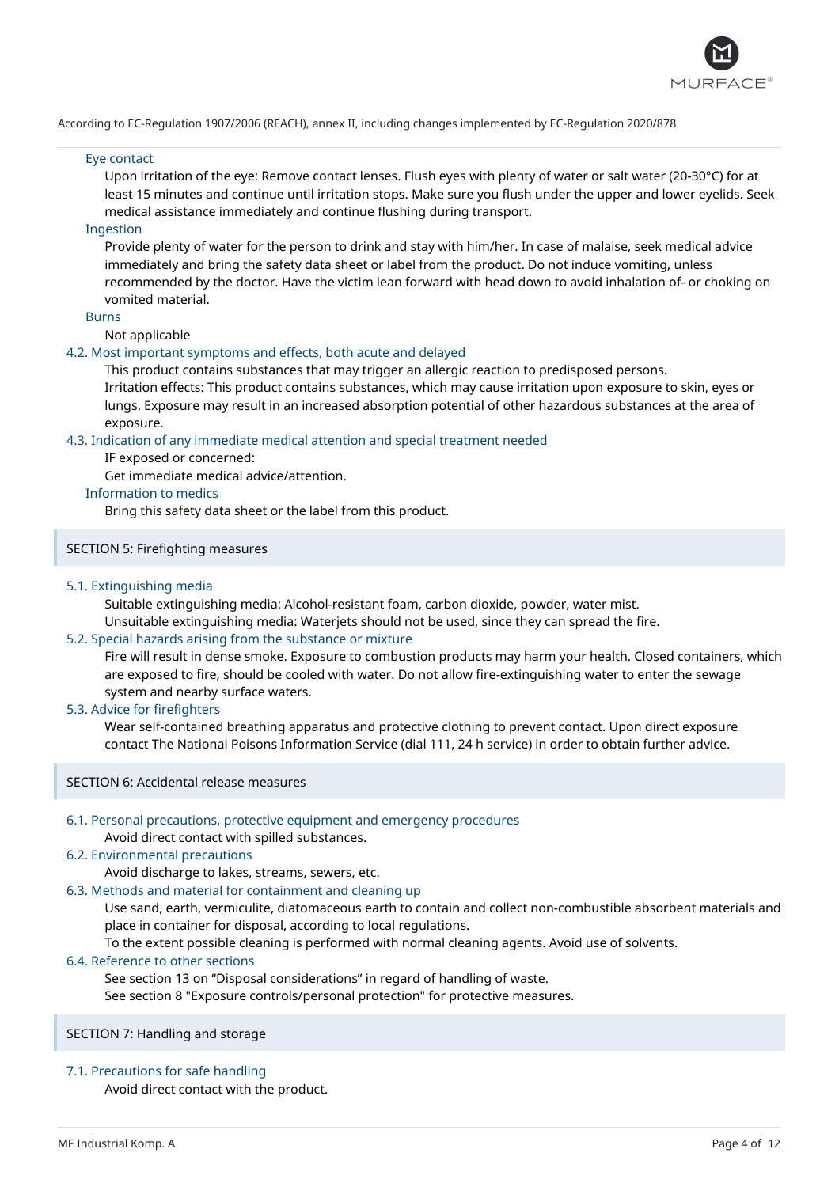

### Eye contact

Upon irritation of the eye: Remove contact lenses. Flush eyes with plenty of water or salt water (20-30°C) for at least 15 minutes and continue until irritation stops. Make sure you flush under the upper and lower eyelids. Seek medical assistance immediately and continue flushing during transport.

### Ingestion

Provide plenty of water for the person to drink and stay with him/her. In case of malaise, seek medical advice immediately and bring the safety data sheet or label from the product. Do not induce vomiting, unless recommended by the doctor. Have the victim lean forward with head down to avoid inhalation of- or choking on vomited material.

#### Burns

Not applicable

### 4.2. Most important symptoms and effects, both acute and delayed

This product contains substances that may trigger an allergic reaction to predisposed persons. Irritation effects: This product contains substances, which may cause irritation upon exposure to skin, eyes or lungs. Exposure may result in an increased absorption potential of other hazardous substances at the area of exposure.

### 4.3. Indication of any immediate medical attention and special treatment needed

IF exposed or concerned:

Get immediate medical advice/attention.

# Information to medics

Bring this safety data sheet or the label from this product.

# SECTION 5: Firefighting measures

### 5.1. Extinguishing media

Suitable extinguishing media: Alcohol-resistant foam, carbon dioxide, powder, water mist. Unsuitable extinguishing media: Waterjets should not be used, since they can spread the fire.

# 5.2. Special hazards arising from the substance or mixture

Fire will result in dense smoke. Exposure to combustion products may harm your health. Closed containers, which are exposed to fire, should be cooled with water. Do not allow fire-extinguishing water to enter the sewage system and nearby surface waters.

### 5.3. Advice for firefighters

Wear self-contained breathing apparatus and protective clothing to prevent contact. Upon direct exposure contact The National Poisons Information Service (dial 111, 24 h service) in order to obtain further advice.

#### SECTION 6: Accidental release measures

# 6.1. Personal precautions, protective equipment and emergency procedures

# Avoid direct contact with spilled substances.

# 6.2. Environmental precautions

Avoid discharge to lakes, streams, sewers, etc.

# 6.3. Methods and material for containment and cleaning up

Use sand, earth, vermiculite, diatomaceous earth to contain and collect non-combustible absorbent materials and place in container for disposal, according to local regulations.

To the extent possible cleaning is performed with normal cleaning agents. Avoid use of solvents.

# 6.4. Reference to other sections

See section 13 on "Disposal considerations" in regard of handling of waste.

See section 8 "Exposure controls/personal protection" for protective measures.

# SECTION 7: Handling and storage

# 7.1. Precautions for safe handling

Avoid direct contact with the product.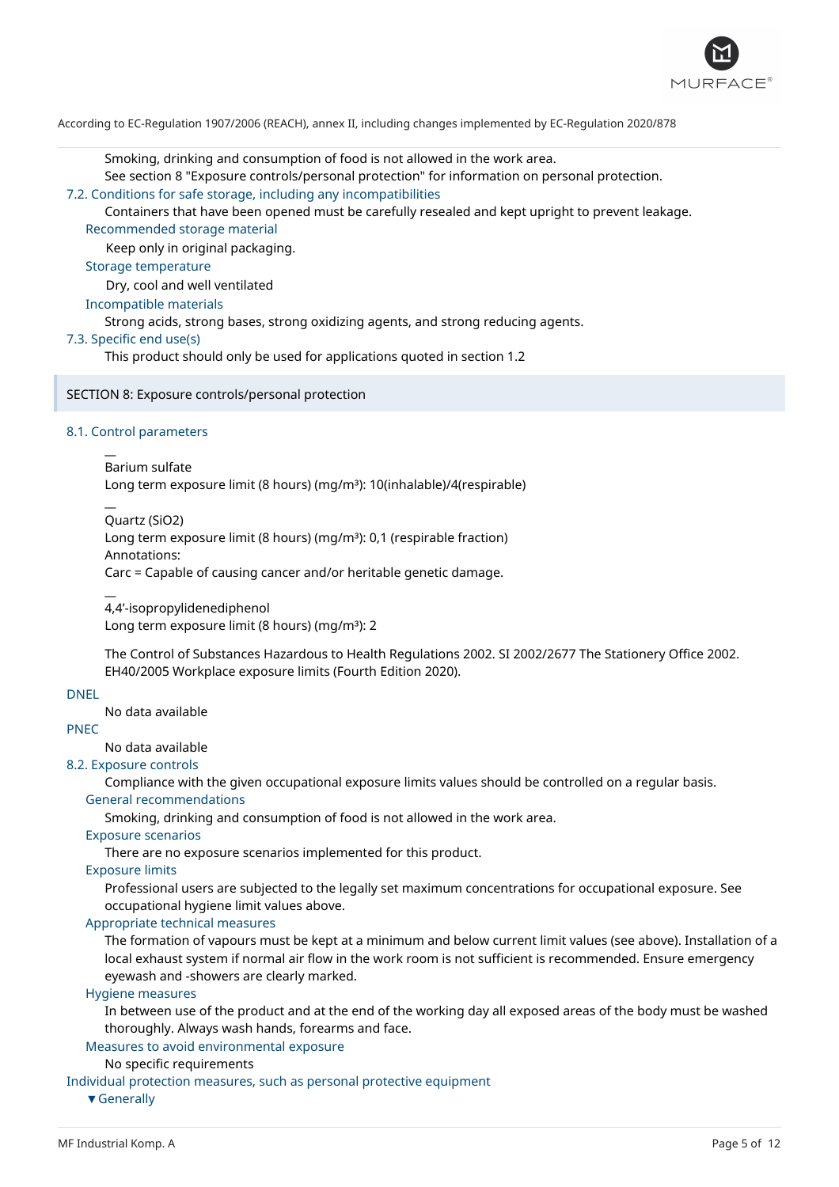

Smoking, drinking and consumption of food is not allowed in the work area.

See section 8 "Exposure controls/personal protection" for information on personal protection.

7.2. Conditions for safe storage, including any incompatibilities

Containers that have been opened must be carefully resealed and kept upright to prevent leakage. Recommended storage material

Keep only in original packaging.

Storage temperature

Dry, cool and well ventilated

Incompatible materials

Strong acids, strong bases, strong oxidizing agents, and strong reducing agents.

### 7.3. Specific end use(s)

This product should only be used for applications quoted in section 1.2

SECTION 8: Exposure controls/personal protection

# 8.1. Control parameters

 $\overline{a}$ 

 $\overline{a}$ 

 $\overline{a}$ 

Barium sulfate Long term exposure limit (8 hours) (mg/m<sup>3</sup>): 10(inhalable)/4(respirable)

Quartz (SiO2)

Long term exposure limit (8 hours) (mg/m<sup>3</sup>): 0,1 (respirable fraction) Annotations:

Carc = Capable of causing cancer and/or heritable genetic damage.

4,4'-isopropylidenediphenol Long term exposure limit (8 hours) (mg/m<sup>3</sup>): 2

The Control of Substances Hazardous to Health Regulations 2002. SI 2002/2677 The Stationery Office 2002. EH40/2005 Workplace exposure limits (Fourth Edition 2020).

# DNEL

No data available

PNEC

No data available

# 8.2. Exposure controls

Compliance with the given occupational exposure limits values should be controlled on a regular basis. General recommendations

Smoking, drinking and consumption of food is not allowed in the work area.

### Exposure scenarios

There are no exposure scenarios implemented for this product.

Exposure limits

Professional users are subjected to the legally set maximum concentrations for occupational exposure. See occupational hygiene limit values above.

# Appropriate technical measures

The formation of vapours must be kept at a minimum and below current limit values (see above). Installation of a local exhaust system if normal air flow in the work room is not sufficient is recommended. Ensure emergency eyewash and -showers are clearly marked.

### Hygiene measures

In between use of the product and at the end of the working day all exposed areas of the body must be washed thoroughly. Always wash hands, forearms and face.

#### Measures to avoid environmental exposure

No specific requirements

Individual protection measures, such as personal protective equipment

▼Generally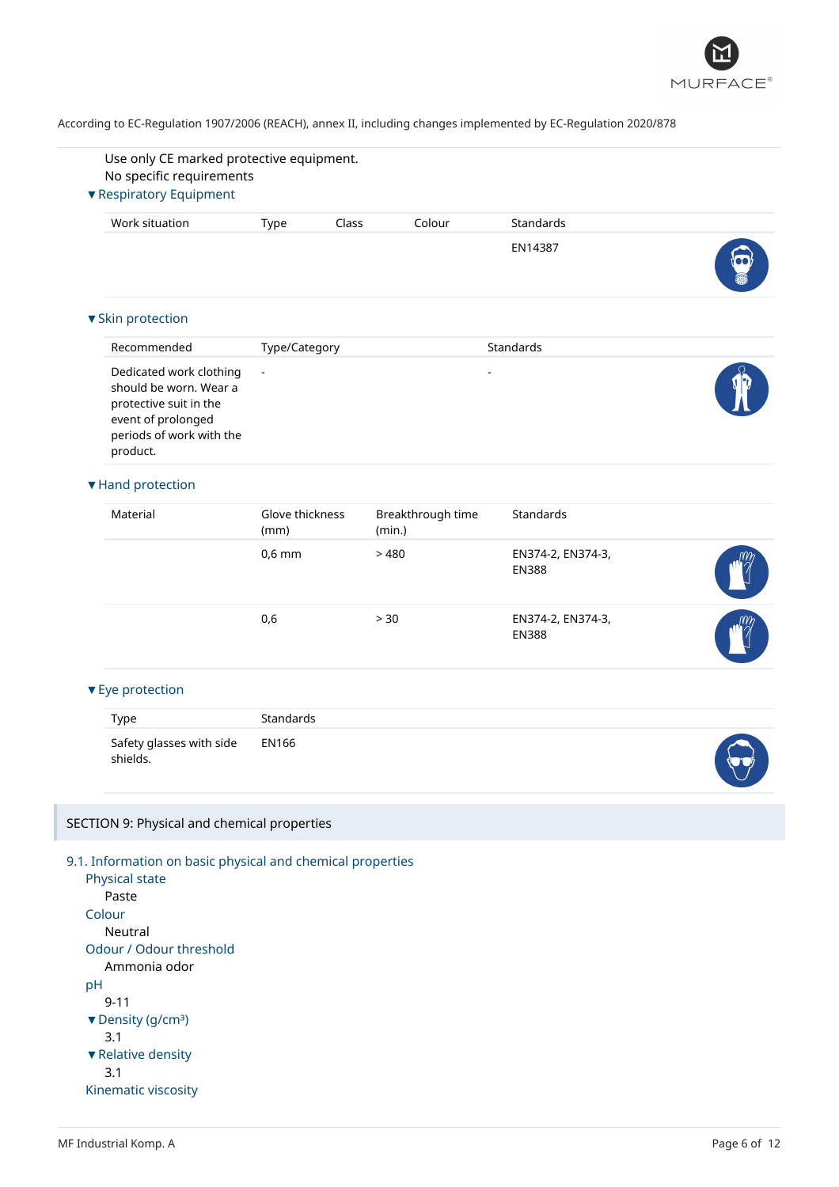

| No specific requirements<br>▼ Respiratory Equipment                                                                                       |                         |                             |                                   |  |
|-------------------------------------------------------------------------------------------------------------------------------------------|-------------------------|-----------------------------|-----------------------------------|--|
| Work situation                                                                                                                            | Class<br>Type           | Colour                      | Standards                         |  |
|                                                                                                                                           |                         |                             | EN14387                           |  |
|                                                                                                                                           |                         |                             |                                   |  |
| ▼ Skin protection                                                                                                                         |                         |                             |                                   |  |
| Recommended                                                                                                                               | Type/Category           |                             | Standards                         |  |
| Dedicated work clothing<br>should be worn. Wear a<br>protective suit in the<br>event of prolonged<br>periods of work with the<br>product. | $\blacksquare$          |                             | ÷,                                |  |
| ▼ Hand protection                                                                                                                         |                         |                             |                                   |  |
| Material                                                                                                                                  | Glove thickness<br>(mm) | Breakthrough time<br>(min.) | Standards                         |  |
|                                                                                                                                           | $0,6$ mm                | >480                        | EN374-2, EN374-3,<br><b>EN388</b> |  |
|                                                                                                                                           | 0,6                     | > 30                        | EN374-2, EN374-3,<br><b>EN388</b> |  |
| ▼ Eye protection                                                                                                                          |                         |                             |                                   |  |
| <b>Type</b>                                                                                                                               | <b>Standards</b>        |                             |                                   |  |
| Safety glasses with side<br>shields.                                                                                                      | <b>EN166</b>            |                             |                                   |  |
| SECTION 9: Physical and chemical properties                                                                                               |                         |                             |                                   |  |
| 9.1. Information on basic physical and chemical properties                                                                                |                         |                             |                                   |  |
| Physical state                                                                                                                            |                         |                             |                                   |  |
| Paste<br>Colour                                                                                                                           |                         |                             |                                   |  |
| Neutral                                                                                                                                   |                         |                             |                                   |  |
| Odour / Odour threshold<br>Ammonia odor                                                                                                   |                         |                             |                                   |  |
| pH                                                                                                                                        |                         |                             |                                   |  |
| $9 - 11$                                                                                                                                  |                         |                             |                                   |  |
| ▼ Density (g/cm <sup>3</sup> )<br>3.1                                                                                                     |                         |                             |                                   |  |
| ▼ Relative density                                                                                                                        |                         |                             |                                   |  |
| 3.1                                                                                                                                       |                         |                             |                                   |  |
| Kinematic viscosity                                                                                                                       |                         |                             |                                   |  |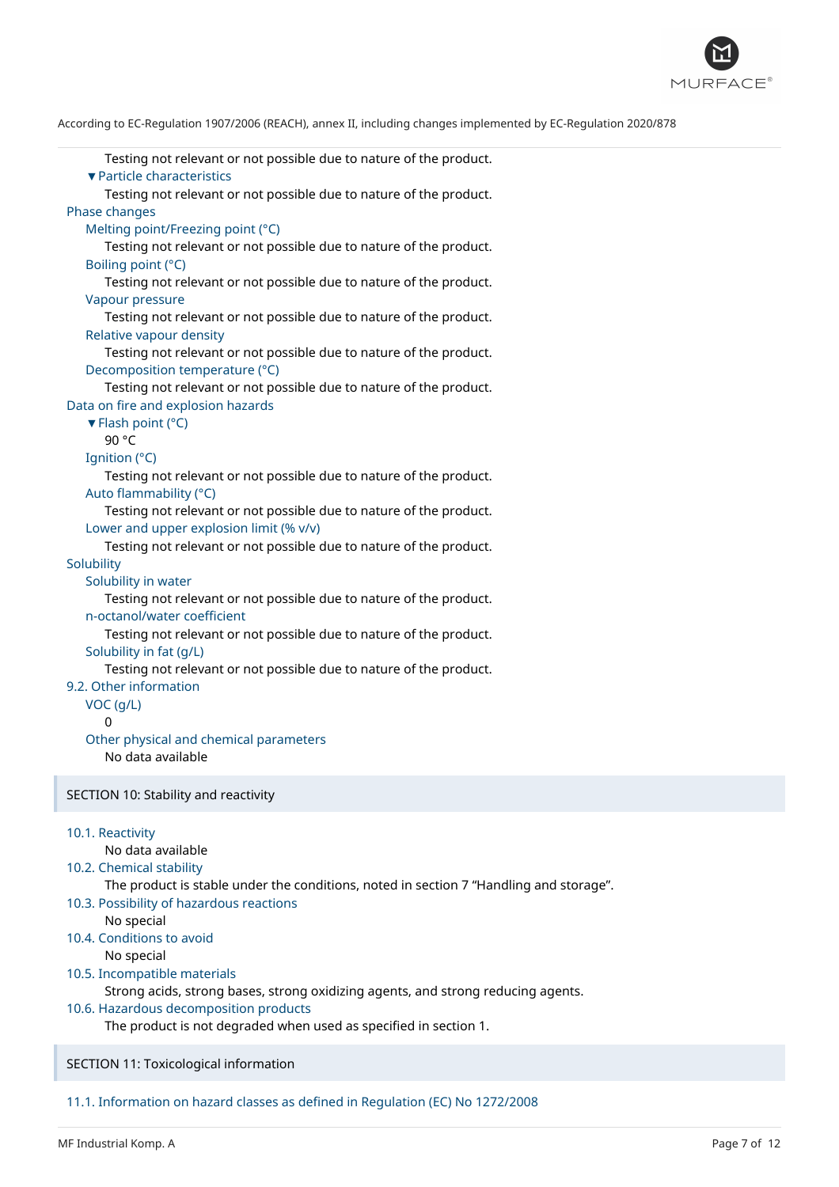

| Testing not relevant or not possible due to nature of the product.<br>▼ Particle characteristics<br>Testing not relevant or not possible due to nature of the product.<br>Phase changes<br>Melting point/Freezing point (°C)<br>Testing not relevant or not possible due to nature of the product.<br>Boiling point (°C)<br>Testing not relevant or not possible due to nature of the product.<br>Vapour pressure<br>Testing not relevant or not possible due to nature of the product.<br>Relative vapour density<br>Testing not relevant or not possible due to nature of the product.<br>Decomposition temperature (°C)                                                                                                                                                                            |
|-------------------------------------------------------------------------------------------------------------------------------------------------------------------------------------------------------------------------------------------------------------------------------------------------------------------------------------------------------------------------------------------------------------------------------------------------------------------------------------------------------------------------------------------------------------------------------------------------------------------------------------------------------------------------------------------------------------------------------------------------------------------------------------------------------|
| Testing not relevant or not possible due to nature of the product.                                                                                                                                                                                                                                                                                                                                                                                                                                                                                                                                                                                                                                                                                                                                    |
| Data on fire and explosion hazards<br>▼ Flash point (°C)<br>90 °C<br>Ignition (°C)<br>Testing not relevant or not possible due to nature of the product.<br>Auto flammability (°C)<br>Testing not relevant or not possible due to nature of the product.<br>Lower and upper explosion limit (% v/v)<br>Testing not relevant or not possible due to nature of the product.<br>Solubility<br>Solubility in water<br>Testing not relevant or not possible due to nature of the product.<br>n-octanol/water coefficient<br>Testing not relevant or not possible due to nature of the product.<br>Solubility in fat (g/L)<br>Testing not relevant or not possible due to nature of the product.<br>9.2. Other information<br>VOC (g/L)<br>0<br>Other physical and chemical parameters<br>No data available |
| SECTION 10: Stability and reactivity                                                                                                                                                                                                                                                                                                                                                                                                                                                                                                                                                                                                                                                                                                                                                                  |
| 10.1. Reactivity<br>No data available<br>10.2. Chemical stability<br>The product is stable under the conditions, noted in section 7 "Handling and storage".<br>10.3. Possibility of hazardous reactions<br>No special<br>10.4. Conditions to avoid<br>No special<br>10.5. Incompatible materials                                                                                                                                                                                                                                                                                                                                                                                                                                                                                                      |
| Strong acids, strong bases, strong oxidizing agents, and strong reducing agents.                                                                                                                                                                                                                                                                                                                                                                                                                                                                                                                                                                                                                                                                                                                      |

10.6. Hazardous decomposition products

The product is not degraded when used as specified in section 1.

SECTION 11: Toxicological information

11.1. Information on hazard classes as defined in Regulation (EC) No 1272/2008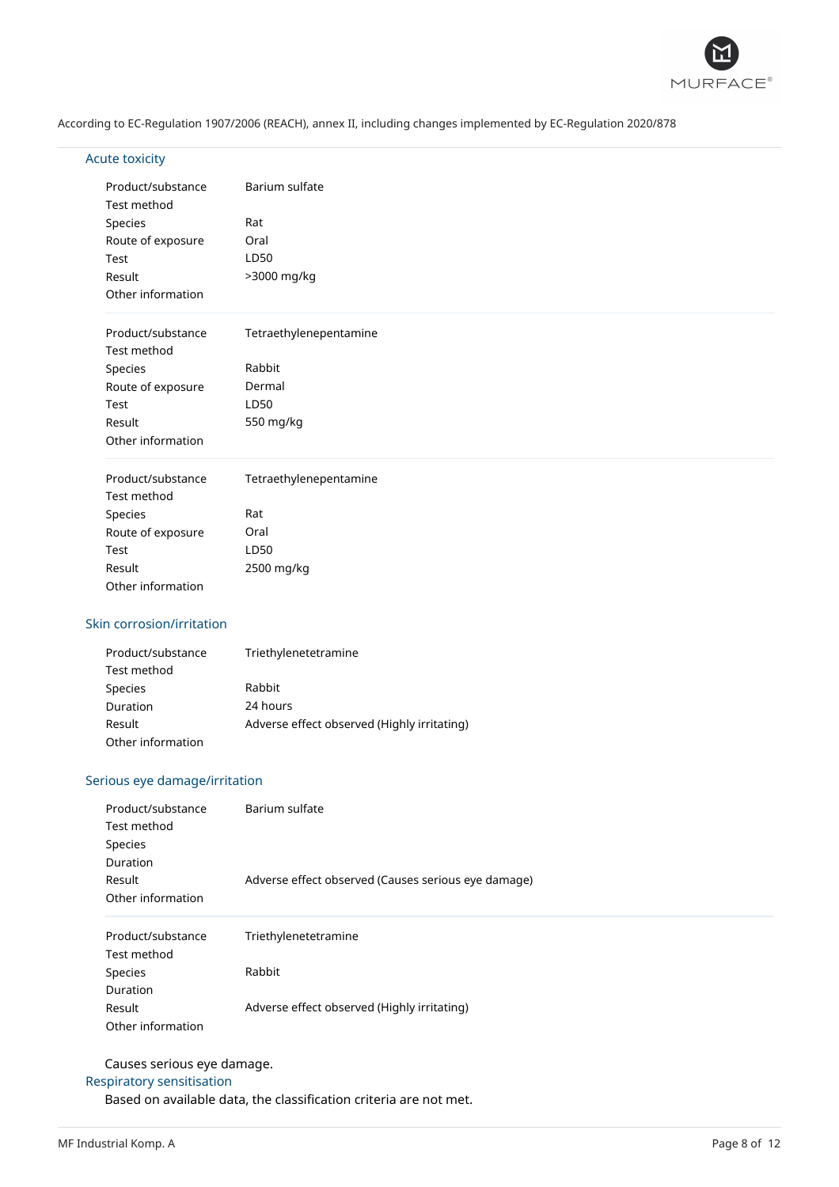

# Acute toxicity

| Product/substance | Barium sulfate         |
|-------------------|------------------------|
| Test method       |                        |
| Species           | Rat                    |
| Route of exposure | Oral                   |
| Test              | LD50                   |
| Result            | >3000 mg/kg            |
| Other information |                        |
| Product/substance | Tetraethylenepentamine |
| Test method       |                        |
| Species           | Rabbit                 |
| Route of exposure | Dermal                 |
| Test              | LD50                   |
| Result            | 550 mg/kg              |
| Other information |                        |
| Product/substance | Tetraethylenepentamine |
| Test method       |                        |
| Species           | Rat                    |
| Route of exposure | Oral                   |
| Test              | LD50                   |
| Result            | 2500 mg/kg             |
| Other information |                        |

# Skin corrosion/irritation

| Product/substance | Triethylenetetramine                        |
|-------------------|---------------------------------------------|
| Test method       |                                             |
| Species           | Rabbit                                      |
| Duration          | 24 hours                                    |
| Result            | Adverse effect observed (Highly irritating) |
| Other information |                                             |

# Serious eye damage/irritation

| Product/substance<br>Test method<br>Species<br>Duration<br>Result<br>Other information | Barium sulfate<br>Adverse effect observed (Causes serious eye damage) |
|----------------------------------------------------------------------------------------|-----------------------------------------------------------------------|
|                                                                                        |                                                                       |
| Product/substance<br>Test method                                                       | Triethylenetetramine                                                  |
| Species                                                                                | Rabbit                                                                |
| Duration                                                                               |                                                                       |
| Result<br>Other information                                                            | Adverse effect observed (Highly irritating)                           |

# Causes serious eye damage.

# Respiratory sensitisation

Based on available data, the classification criteria are not met.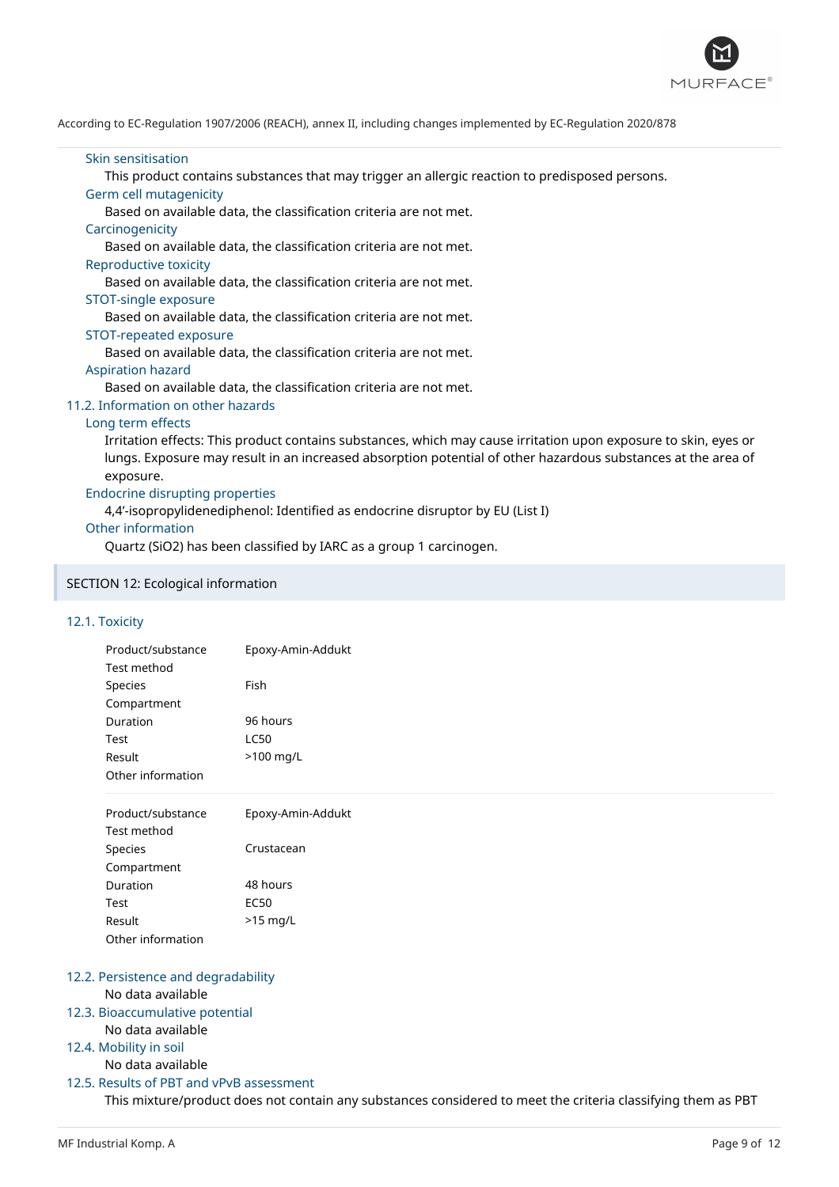

### Skin sensitisation

This product contains substances that may trigger an allergic reaction to predisposed persons.

### Germ cell mutagenicity

Based on available data, the classification criteria are not met.

#### **Carcinogenicity**

Based on available data, the classification criteria are not met.

#### Reproductive toxicity

Based on available data, the classification criteria are not met.

#### STOT-single exposure

Based on available data, the classification criteria are not met.

### STOT-repeated exposure

Based on available data, the classification criteria are not met.

#### Aspiration hazard

Based on available data, the classification criteria are not met.

### 11.2. Information on other hazards

#### Long term effects

Irritation effects: This product contains substances, which may cause irritation upon exposure to skin, eyes or lungs. Exposure may result in an increased absorption potential of other hazardous substances at the area of exposure.

# Endocrine disrupting properties

4,4'-isopropylidenediphenol: Identified as endocrine disruptor by EU (List I)

### Other information

Quartz (SiO2) has been classified by IARC as a group 1 carcinogen.

# SECTION 12: Ecological information

### 12.1. Toxicity

| Product/substance | Epoxy-Amin-Addukt |
|-------------------|-------------------|
| Test method       |                   |
| Species           | Fish              |
| Compartment       |                   |
| Duration          | 96 hours          |
| Test              | LC50              |
| Result            | $>100$ mg/L       |
| Other information |                   |
|                   |                   |

| Product/substance | Epoxy-Amin-Addukt |
|-------------------|-------------------|
| Test method       |                   |
| <b>Species</b>    | Crustacean        |
| Compartment       |                   |
| Duration          | 48 hours          |
| Test              | FC50              |
| Result            | $>15$ mg/L        |
| Other information |                   |

# 12.2. Persistence and degradability

# No data available

# 12.3. Bioaccumulative potential

No data available

# 12.4. Mobility in soil

No data available

### 12.5. Results of PBT and vPvB assessment This mixture/product does not contain any substances considered to meet the criteria classifying them as PBT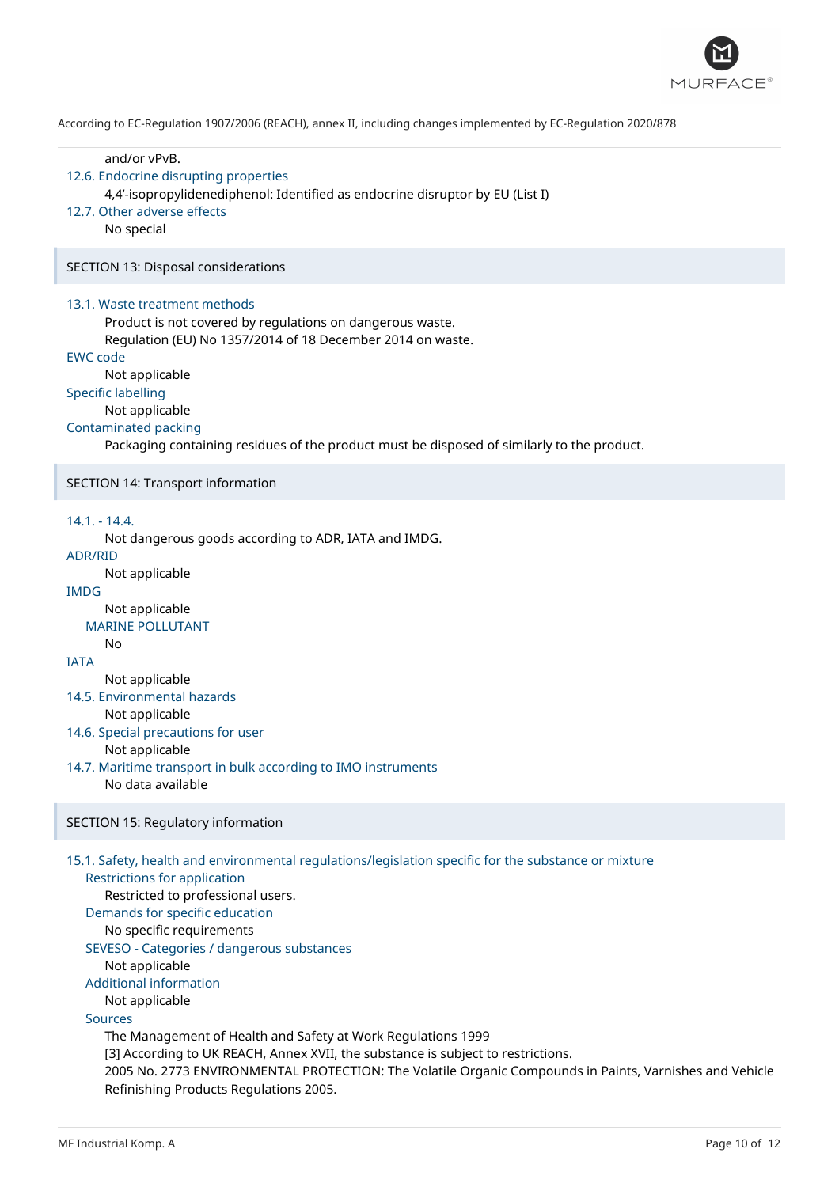

and/or vPvB.

# 12.6. Endocrine disrupting properties

4,4'-isopropylidenediphenol: Identified as endocrine disruptor by EU (List I)

# 12.7. Other adverse effects

No special

SECTION 13: Disposal considerations

#### 13.1. Waste treatment methods

Product is not covered by regulations on dangerous waste.

Regulation (EU) No 1357/2014 of 18 December 2014 on waste.

# EWC code

Not applicable

# Specific labelling

Not applicable

# Contaminated packing

Packaging containing residues of the product must be disposed of similarly to the product.

#### SECTION 14: Transport information

# 14.1. - 14.4.

Not dangerous goods according to ADR, IATA and IMDG.

# ADR/RID

Not applicable

# IMDG

Not applicable

# MARINE POLLUTANT

**IATA** 

No

Not applicable

# 14.5. Environmental hazards

Not applicable

- 14.6. Special precautions for user Not applicable
- 14.7. Maritime transport in bulk according to IMO instruments
	- No data available

### SECTION 15: Regulatory information

#### 15.1. Safety, health and environmental regulations/legislation specific for the substance or mixture

Restrictions for application

Restricted to professional users.

Demands for specific education

# No specific requirements

SEVESO - Categories / dangerous substances

Not applicable

Additional information Not applicable

Sources

The Management of Health and Safety at Work Regulations 1999 [3] According to UK REACH, Annex XVII, the substance is subject to restrictions. 2005 No. 2773 ENVIRONMENTAL PROTECTION: The Volatile Organic Compounds in Paints, Varnishes and Vehicle Refinishing Products Regulations 2005.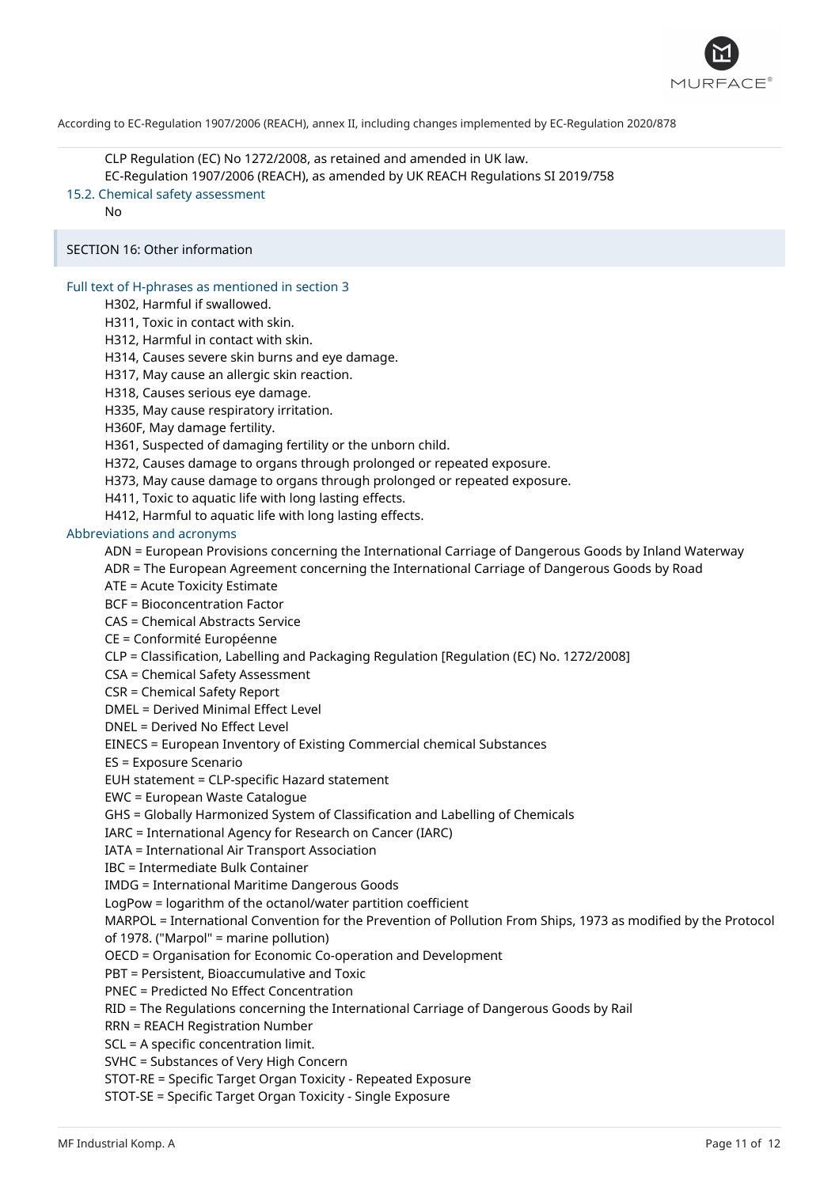

CLP Regulation (EC) No 1272/2008, as retained and amended in UK law. EC-Regulation 1907/2006 (REACH), as amended by UK REACH Regulations SI 2019/758 15.2. Chemical safety assessment

No

# SECTION 16: Other information

# Full text of H-phrases as mentioned in section 3

H302, Harmful if swallowed.

H311, Toxic in contact with skin.

H312, Harmful in contact with skin.

H314, Causes severe skin burns and eye damage.

H317, May cause an allergic skin reaction.

H318, Causes serious eye damage.

H335, May cause respiratory irritation.

H360F, May damage fertility.

H361, Suspected of damaging fertility or the unborn child.

H372, Causes damage to organs through prolonged or repeated exposure.

H373, May cause damage to organs through prolonged or repeated exposure.

H411, Toxic to aquatic life with long lasting effects.

H412, Harmful to aquatic life with long lasting effects.

Abbreviations and acronyms

ADN = European Provisions concerning the International Carriage of Dangerous Goods by Inland Waterway

ADR = The European Agreement concerning the International Carriage of Dangerous Goods by Road

ATE = Acute Toxicity Estimate

BCF = Bioconcentration Factor

CAS = Chemical Abstracts Service

CE = Conformité Européenne

CLP = Classification, Labelling and Packaging Regulation [Regulation (EC) No. 1272/2008]

CSA = Chemical Safety Assessment

CSR = Chemical Safety Report

DMEL = Derived Minimal Effect Level

DNEL = Derived No Effect Level

EINECS = European Inventory of Existing Commercial chemical Substances

ES = Exposure Scenario

EUH statement = CLP-specific Hazard statement

EWC = European Waste Catalogue

GHS = Globally Harmonized System of Classification and Labelling of Chemicals

IARC = International Agency for Research on Cancer (IARC)

IATA = International Air Transport Association

IBC = Intermediate Bulk Container

IMDG = International Maritime Dangerous Goods

LogPow = logarithm of the octanol/water partition coefficient

MARPOL = International Convention for the Prevention of Pollution From Ships, 1973 as modified by the Protocol of 1978. ("Marpol" = marine pollution)

OECD = Organisation for Economic Co-operation and Development

PBT = Persistent, Bioaccumulative and Toxic

PNEC = Predicted No Effect Concentration

RID = The Regulations concerning the International Carriage of Dangerous Goods by Rail

RRN = REACH Registration Number

SCL = A specific concentration limit.

SVHC = Substances of Very High Concern

STOT-RE = Specific Target Organ Toxicity - Repeated Exposure

STOT-SE = Specific Target Organ Toxicity - Single Exposure